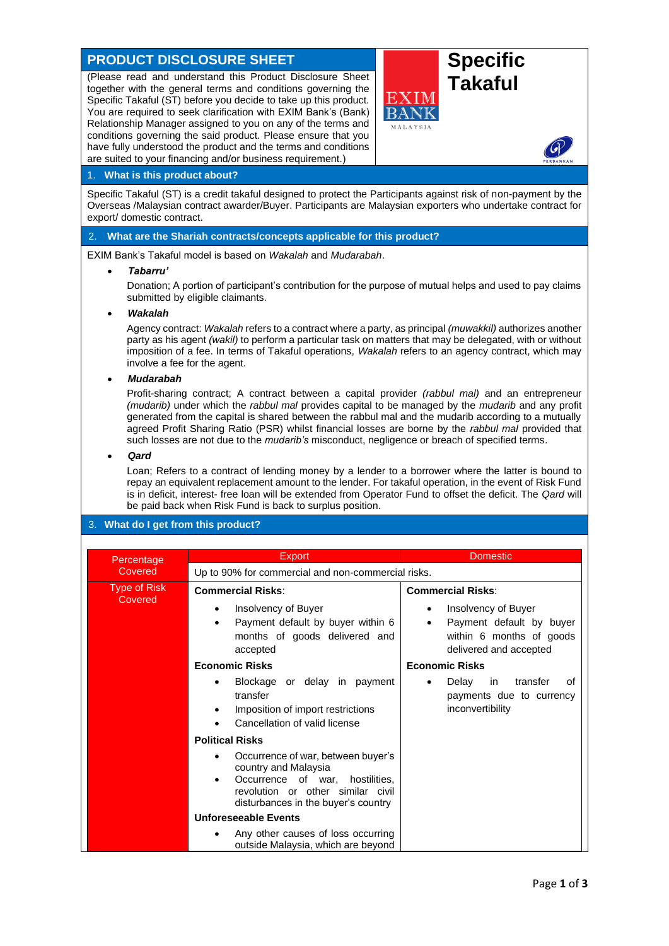# **PRODUCT DISCLOSURE SHEET Specific**

(Please read and understand this Product Disclosure Sheet **Transform Takaful** Specific Takaful (ST) before you decide to take up this product. You are required to seek clarification with EXIM Bank's (Bank) Relationship Manager assigned to you on any of the terms and conditions governing the said product. Please ensure that you have fully understood the product and the terms and conditions are suited to your financing and/or business requirement.)



### 1. **What is this product about?**

Specific Takaful (ST) is a credit takaful designed to protect the Participants against risk of non-payment by the Overseas /Malaysian contract awarder/Buyer. Participants are Malaysian exporters who undertake contract for export/ domestic contract.

### 2. **What are the Shariah contracts/concepts applicable for this product?**

EXIM Bank's Takaful model is based on *Wakalah* and *Mudarabah*.

#### • *Tabarru'*

Donation; A portion of participant's contribution for the purpose of mutual helps and used to pay claims submitted by eligible claimants.

#### • *Wakalah*

Agency contract: *Wakalah* refers to a contract where a party, as principal *(muwakkil)* authorizes another party as his agent *(wakil)* to perform a particular task on matters that may be delegated, with or without imposition of a fee. In terms of Takaful operations, *Wakalah* refers to an agency contract, which may involve a fee for the agent.

#### • *Mudarabah*

Profit-sharing contract; A contract between a capital provider *(rabbul mal)* and an entrepreneur *(mudarib)* under which the *rabbul mal* provides capital to be managed by the *mudarib* and any profit generated from the capital is shared between the rabbul mal and the mudarib according to a mutually agreed Profit Sharing Ratio (PSR) whilst financial losses are borne by the *rabbul mal* provided that such losses are not due to the *mudarib's* misconduct, negligence or breach of specified terms.

#### • *Qard*

Loan; Refers to a contract of lending money by a lender to a borrower where the latter is bound to repay an equivalent replacement amount to the lender. For takaful operation, in the event of Risk Fund is in deficit, interest- free loan will be extended from Operator Fund to offset the deficit. The *Qard* will be paid back when Risk Fund is back to surplus position.

# 3. **What do I get from this product?**

| Percentage                     | Export                                                                                                                                                                                 | <b>Domestic</b>                                                                                            |
|--------------------------------|----------------------------------------------------------------------------------------------------------------------------------------------------------------------------------------|------------------------------------------------------------------------------------------------------------|
| Covered                        | Up to 90% for commercial and non-commercial risks.                                                                                                                                     |                                                                                                            |
| <b>Type of Risk</b><br>Covered | <b>Commercial Risks:</b>                                                                                                                                                               | <b>Commercial Risks:</b>                                                                                   |
|                                | Insolvency of Buyer<br>٠<br>Payment default by buyer within 6<br>$\bullet$<br>months of goods delivered and<br>accepted                                                                | Insolvency of Buyer<br>٠<br>Payment default by buyer<br>within 6 months of goods<br>delivered and accepted |
|                                | <b>Economic Risks</b>                                                                                                                                                                  | <b>Economic Risks</b>                                                                                      |
|                                | Blockage or delay in payment<br>transfer<br>Imposition of import restrictions<br>Cancellation of valid license                                                                         | transfer<br>Delay<br>in.<br>of<br>payments due to currency<br>inconvertibility                             |
|                                | <b>Political Risks</b>                                                                                                                                                                 |                                                                                                            |
|                                | Occurrence of war, between buyer's<br>country and Malaysia<br>Occurrence of war, hostilities,<br>$\bullet$<br>revolution or other similar civil<br>disturbances in the buyer's country |                                                                                                            |
|                                | <b>Unforeseeable Events</b>                                                                                                                                                            |                                                                                                            |
|                                | Any other causes of loss occurring<br>$\bullet$<br>outside Malaysia, which are beyond                                                                                                  |                                                                                                            |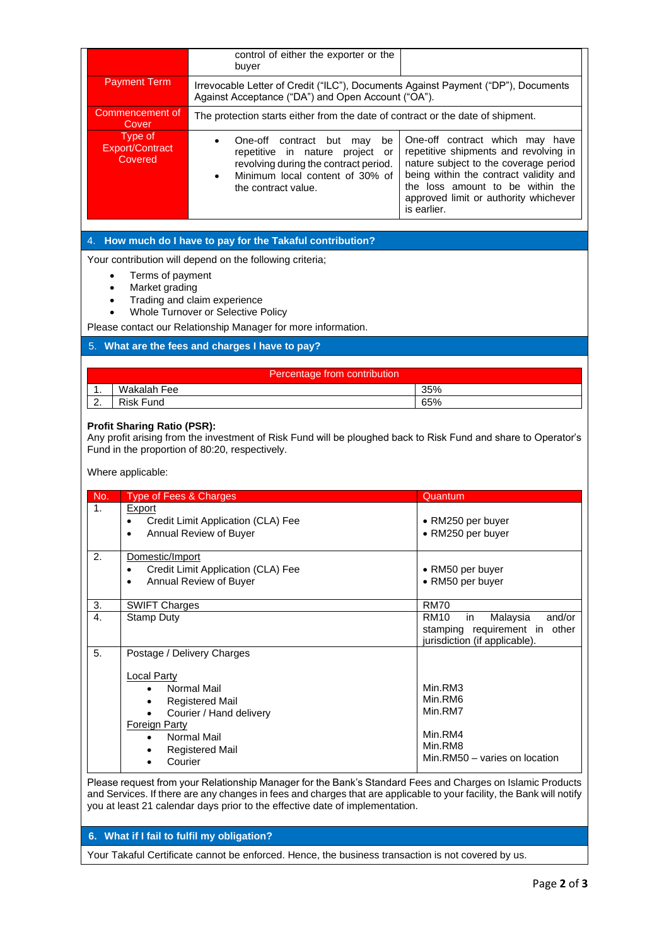|                                                                                                                                                                                                                             |                                              | control of either the exporter or the<br>buyer                                                                                                                                    |                                                                                                                                                                                                                                                         |  |
|-----------------------------------------------------------------------------------------------------------------------------------------------------------------------------------------------------------------------------|----------------------------------------------|-----------------------------------------------------------------------------------------------------------------------------------------------------------------------------------|---------------------------------------------------------------------------------------------------------------------------------------------------------------------------------------------------------------------------------------------------------|--|
|                                                                                                                                                                                                                             | <b>Payment Term</b>                          | Irrevocable Letter of Credit ("ILC"), Documents Against Payment ("DP"), Documents<br>Against Acceptance ("DA") and Open Account ("OA").                                           |                                                                                                                                                                                                                                                         |  |
|                                                                                                                                                                                                                             | Commencement of<br>Cover                     | The protection starts either from the date of contract or the date of shipment.                                                                                                   |                                                                                                                                                                                                                                                         |  |
|                                                                                                                                                                                                                             | Type of<br><b>Export/Contract</b><br>Covered | One-off contract but may<br>be<br>$\bullet$<br>repetitive in nature project or<br>revolving during the contract period.<br>Minimum local content of 30% of<br>the contract value. | One-off contract which may have<br>repetitive shipments and revolving in<br>nature subject to the coverage period<br>being within the contract validity and<br>the loss amount to be within the<br>approved limit or authority whichever<br>is earlier. |  |
|                                                                                                                                                                                                                             |                                              | How much do I have to pay for the Takaful contribution?                                                                                                                           |                                                                                                                                                                                                                                                         |  |
|                                                                                                                                                                                                                             |                                              | Your contribution will depend on the following criteria;                                                                                                                          |                                                                                                                                                                                                                                                         |  |
| $\bullet$                                                                                                                                                                                                                   | Terms of payment                             |                                                                                                                                                                                   |                                                                                                                                                                                                                                                         |  |
| $\bullet$<br>$\bullet$                                                                                                                                                                                                      | Market grading                               | Trading and claim experience                                                                                                                                                      |                                                                                                                                                                                                                                                         |  |
|                                                                                                                                                                                                                             |                                              | Whole Turnover or Selective Policy                                                                                                                                                |                                                                                                                                                                                                                                                         |  |
|                                                                                                                                                                                                                             |                                              | Please contact our Relationship Manager for more information.                                                                                                                     |                                                                                                                                                                                                                                                         |  |
|                                                                                                                                                                                                                             |                                              | 5. What are the fees and charges I have to pay?                                                                                                                                   |                                                                                                                                                                                                                                                         |  |
|                                                                                                                                                                                                                             |                                              | Percentage from contribution                                                                                                                                                      |                                                                                                                                                                                                                                                         |  |
| 1.                                                                                                                                                                                                                          | Wakalah Fee                                  |                                                                                                                                                                                   | 35%                                                                                                                                                                                                                                                     |  |
| 2.                                                                                                                                                                                                                          | <b>Risk Fund</b>                             |                                                                                                                                                                                   | 65%                                                                                                                                                                                                                                                     |  |
| <b>Profit Sharing Ratio (PSR):</b><br>Any profit arising from the investment of Risk Fund will be ploughed back to Risk Fund and share to Operator's<br>Fund in the proportion of 80:20, respectively.<br>Where applicable: |                                              |                                                                                                                                                                                   |                                                                                                                                                                                                                                                         |  |
| No.                                                                                                                                                                                                                         | Type of Fees & Charges                       |                                                                                                                                                                                   | Quantum                                                                                                                                                                                                                                                 |  |
| 1.                                                                                                                                                                                                                          | Export                                       |                                                                                                                                                                                   |                                                                                                                                                                                                                                                         |  |
|                                                                                                                                                                                                                             | ٠<br>$\bullet$                               | Credit Limit Application (CLA) Fee<br>Annual Review of Buyer                                                                                                                      | • RM250 per buyer<br>• RM250 per buyer                                                                                                                                                                                                                  |  |
| $\overline{2}$ .                                                                                                                                                                                                            | Domestic/Import                              |                                                                                                                                                                                   |                                                                                                                                                                                                                                                         |  |
|                                                                                                                                                                                                                             | $\bullet$                                    | Credit Limit Application (CLA) Fee                                                                                                                                                | • RM50 per buyer                                                                                                                                                                                                                                        |  |
|                                                                                                                                                                                                                             | $\bullet$                                    | Annual Review of Buyer                                                                                                                                                            | • RM50 per buyer                                                                                                                                                                                                                                        |  |
| 3.                                                                                                                                                                                                                          | <b>SWIFT Charges</b>                         |                                                                                                                                                                                   | <b>RM70</b>                                                                                                                                                                                                                                             |  |
| 4.                                                                                                                                                                                                                          | <b>Stamp Duty</b>                            |                                                                                                                                                                                   | <b>RM10</b><br>Malaysia<br>and/or<br>in<br>stamping requirement in other                                                                                                                                                                                |  |
|                                                                                                                                                                                                                             |                                              |                                                                                                                                                                                   | jurisdiction (if applicable).                                                                                                                                                                                                                           |  |
| 5.                                                                                                                                                                                                                          |                                              | Postage / Delivery Charges                                                                                                                                                        |                                                                                                                                                                                                                                                         |  |
|                                                                                                                                                                                                                             | <b>Local Party</b>                           |                                                                                                                                                                                   |                                                                                                                                                                                                                                                         |  |
|                                                                                                                                                                                                                             |                                              | Normal Mail<br><b>Registered Mail</b>                                                                                                                                             | Min.RM3<br>Min.RM6                                                                                                                                                                                                                                      |  |
|                                                                                                                                                                                                                             |                                              | Courier / Hand delivery                                                                                                                                                           | Min.RM7                                                                                                                                                                                                                                                 |  |
|                                                                                                                                                                                                                             | <b>Foreign Party</b>                         |                                                                                                                                                                                   | Min.RM4                                                                                                                                                                                                                                                 |  |
|                                                                                                                                                                                                                             | $\bullet$                                    | Normal Mail<br><b>Registered Mail</b>                                                                                                                                             | Min.RM8                                                                                                                                                                                                                                                 |  |
|                                                                                                                                                                                                                             | Courier<br>٠                                 |                                                                                                                                                                                   | Min.RM50 - varies on location                                                                                                                                                                                                                           |  |

Please request from your Relationship Manager for the Bank's Standard Fees and Charges on Islamic Products and Services. If there are any changes in fees and charges that are applicable to your facility, the Bank will notify you at least 21 calendar days prior to the effective date of implementation.

## **6. What if I fail to fulfil my obligation?**

Your Takaful Certificate cannot be enforced. Hence, the business transaction is not covered by us.